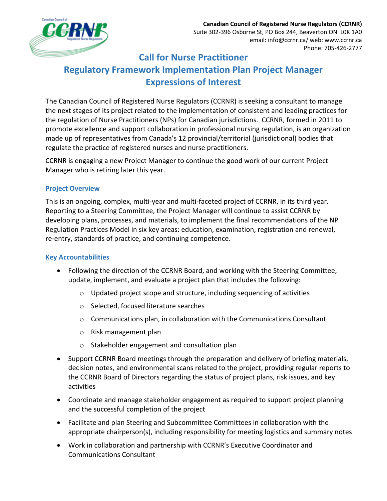

# **Call for Nurse Practitioner Regulatory Framework Implementation Plan Project Manager Expressions of Interest**

The Canadian Council of Registered Nurse Regulators (CCRNR) is seeking a consultant to manage the next stages of its project related to the implementation of consistent and leading practices for the regulation of Nurse Practitioners (NPs) for Canadian jurisdictions. CCRNR, formed in 2011 to promote excellence and support collaboration in professional nursing regulation, is an organization made up of representatives from Canada's 12 provincial/territorial (jurisdictional) bodies that regulate the practice of registered nurses and nurse practitioners.

CCRNR is engaging a new Project Manager to continue the good work of our current Project Manager who is retiring later this year.

## **Project Overview**

This is an ongoing, complex, multi-year and multi-faceted project of CCRNR, in its third year. Reporting to a Steering Committee, the Project Manager will continue to assist CCRNR by developing plans, processes, and materials, to implement the final recommendations of the NP Regulation Practices Model in six key areas: education, examination, registration and renewal, re-entry, standards of practice, and continuing competence.

# **Key Accountabilities**

- Following the direction of the CCRNR Board, and working with the Steering Committee, update, implement, and evaluate a project plan that includes the following:
	- o Updated project scope and structure, including sequencing of activities
	- o Selected, focused literature searches
	- $\circ$  Communications plan, in collaboration with the Communications Consultant
	- o Risk management plan
	- o Stakeholder engagement and consultation plan
- Support CCRNR Board meetings through the preparation and delivery of briefing materials, decision notes, and environmental scans related to the project, providing regular reports to the CCRNR Board of Directors regarding the status of project plans, risk issues, and key activities
- Coordinate and manage stakeholder engagement as required to support project planning and the successful completion of the project
- Facilitate and plan Steering and Subcommittee Committees in collaboration with the appropriate chairperson(s), including responsibility for meeting logistics and summary notes
- Work in collaboration and partnership with CCRNR's Executive Coordinator and Communications Consultant